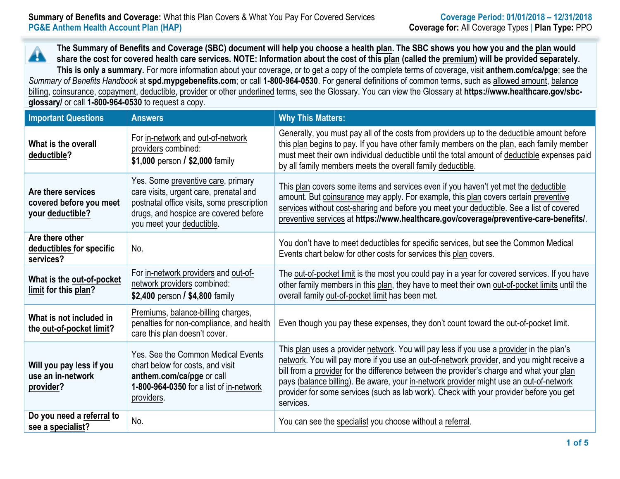**The Summary of Benefits and Coverage (SBC) document will help you choose a health plan. The SBC shows you how you and the plan would** Â **share the cost for covered health care services. NOTE: Information about the cost of this plan (called the premium) will be provided separately. This is only a summary.** For more information about your coverage, or to get a copy of the complete terms of coverage, visit **anthem.com/ca/pge**; see the *Summary of Benefits Handbook* at **spd.mypgebenefits.com**; or call **1-800-964-0530**. For general definitions of common terms, such as allowed amount, balance billing, coinsurance, copayment, deductible, provider or other underlined terms, see the Glossary. You can view the Glossary at **https://www.healthcare.gov/sbcglossary/** or call **1-800-964-0530** to request a copy.

| <b>Important Questions</b>                                        | <b>Answers</b>                                                                                                                                                                                   | <b>Why This Matters:</b>                                                                                                                                                                                                                                                                                                                                                                                                                                                           |
|-------------------------------------------------------------------|--------------------------------------------------------------------------------------------------------------------------------------------------------------------------------------------------|------------------------------------------------------------------------------------------------------------------------------------------------------------------------------------------------------------------------------------------------------------------------------------------------------------------------------------------------------------------------------------------------------------------------------------------------------------------------------------|
| What is the overall<br>deductible?                                | For in-network and out-of-network<br>providers combined:<br>\$1,000 person / \$2,000 family                                                                                                      | Generally, you must pay all of the costs from providers up to the deductible amount before<br>this plan begins to pay. If you have other family members on the plan, each family member<br>must meet their own individual deductible until the total amount of deductible expenses paid<br>by all family members meets the overall family deductible.                                                                                                                              |
| Are there services<br>covered before you meet<br>your deductible? | Yes. Some preventive care, primary<br>care visits, urgent care, prenatal and<br>postnatal office visits, some prescription<br>drugs, and hospice are covered before<br>you meet your deductible. | This plan covers some items and services even if you haven't yet met the deductible<br>amount. But coinsurance may apply. For example, this plan covers certain preventive<br>services without cost-sharing and before you meet your deductible. See a list of covered<br>preventive services at https://www.healthcare.gov/coverage/preventive-care-benefits/.                                                                                                                    |
| Are there other<br>deductibles for specific<br>services?          | No.                                                                                                                                                                                              | You don't have to meet deductibles for specific services, but see the Common Medical<br>Events chart below for other costs for services this plan covers.                                                                                                                                                                                                                                                                                                                          |
| What is the out-of-pocket<br>limit for this plan?                 | For in-network providers and out-of-<br>network providers combined:<br>\$2,400 person / \$4,800 family                                                                                           | The out-of-pocket limit is the most you could pay in a year for covered services. If you have<br>other family members in this plan, they have to meet their own out-of-pocket limits until the<br>overall family out-of-pocket limit has been met.                                                                                                                                                                                                                                 |
| What is not included in<br>the out-of-pocket limit?               | Premiums, balance-billing charges,<br>penalties for non-compliance, and health<br>care this plan doesn't cover.                                                                                  | Even though you pay these expenses, they don't count toward the out-of-pocket limit.                                                                                                                                                                                                                                                                                                                                                                                               |
| Will you pay less if you<br>use an in-network<br>provider?        | Yes. See the Common Medical Events<br>chart below for costs, and visit<br>anthem.com/ca/pge or call<br>1-800-964-0350 for a list of in-network<br>providers.                                     | This plan uses a provider network. You will pay less if you use a provider in the plan's<br>network. You will pay more if you use an out-of-network provider, and you might receive a<br>bill from a provider for the difference between the provider's charge and what your plan<br>pays (balance billing). Be aware, your in-network provider might use an out-of-network<br>provider for some services (such as lab work). Check with your provider before you get<br>services. |
| Do you need a referral to<br>see a specialist?                    | No.                                                                                                                                                                                              | You can see the specialist you choose without a referral.                                                                                                                                                                                                                                                                                                                                                                                                                          |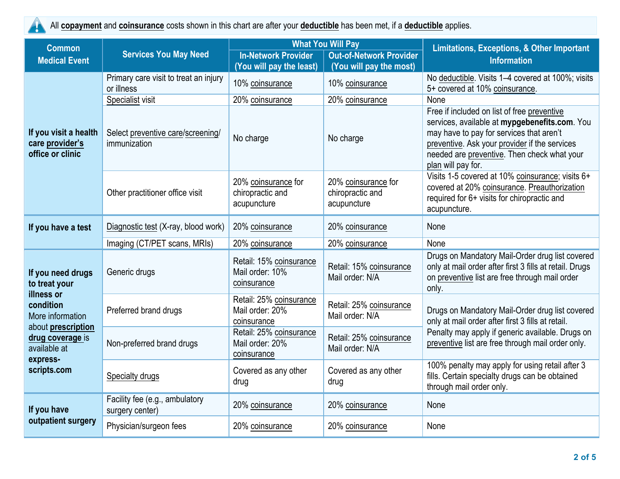All **copayment** and **coinsurance** costs shown in this chart are after your **deductible** has been met, if a **deductible** applies.

| <b>Common</b>                                                                                                                                                          | <b>Services You May Need</b>                        | <b>What You Will Pay</b>                                  |                                                           | <b>Limitations, Exceptions, &amp; Other Important</b>                                                                                                                                                                                                          |  |
|------------------------------------------------------------------------------------------------------------------------------------------------------------------------|-----------------------------------------------------|-----------------------------------------------------------|-----------------------------------------------------------|----------------------------------------------------------------------------------------------------------------------------------------------------------------------------------------------------------------------------------------------------------------|--|
| <b>Medical Event</b>                                                                                                                                                   |                                                     | <b>In-Network Provider</b><br>(You will pay the least)    | <b>Out-of-Network Provider</b><br>(You will pay the most) | <b>Information</b>                                                                                                                                                                                                                                             |  |
| If you visit a health<br>care provider's<br>office or clinic                                                                                                           | Primary care visit to treat an injury<br>or illness | 10% coinsurance                                           | 10% coinsurance                                           | No deductible. Visits 1-4 covered at 100%; visits<br>5+ covered at 10% coinsurance.                                                                                                                                                                            |  |
|                                                                                                                                                                        | Specialist visit                                    | 20% coinsurance                                           | 20% coinsurance                                           | None                                                                                                                                                                                                                                                           |  |
|                                                                                                                                                                        | Select preventive care/screening/<br>immunization   | No charge                                                 | No charge                                                 | Free if included on list of free preventive<br>services, available at mypgebenefits.com. You<br>may have to pay for services that aren't<br>preventive. Ask your provider if the services<br>needed are preventive. Then check what your<br>plan will pay for. |  |
|                                                                                                                                                                        | Other practitioner office visit                     | 20% coinsurance for<br>chiropractic and<br>acupuncture    | 20% coinsurance for<br>chiropractic and<br>acupuncture    | Visits 1-5 covered at 10% coinsurance; visits 6+<br>covered at 20% coinsurance. Preauthorization<br>required for 6+ visits for chiropractic and<br>acupuncture.                                                                                                |  |
| If you have a test                                                                                                                                                     | Diagnostic test (X-ray, blood work)                 | 20% coinsurance                                           | 20% coinsurance                                           | None                                                                                                                                                                                                                                                           |  |
|                                                                                                                                                                        | Imaging (CT/PET scans, MRIs)                        | 20% coinsurance                                           | 20% coinsurance                                           | None                                                                                                                                                                                                                                                           |  |
| If you need drugs<br>to treat your<br>illness or<br>condition<br>More information<br>about prescription<br>drug coverage is<br>available at<br>express-<br>scripts.com | Generic drugs                                       | Retail: 15% coinsurance<br>Mail order: 10%<br>coinsurance | Retail: 15% coinsurance<br>Mail order: N/A                | Drugs on Mandatory Mail-Order drug list covered<br>only at mail order after first 3 fills at retail. Drugs<br>on preventive list are free through mail order<br>only.                                                                                          |  |
|                                                                                                                                                                        | Preferred brand drugs                               | Retail: 25% coinsurance<br>Mail order: 20%<br>coinsurance | Retail: 25% coinsurance<br>Mail order: N/A                | Drugs on Mandatory Mail-Order drug list covered<br>only at mail order after first 3 fills at retail.<br>Penalty may apply if generic available. Drugs on<br>preventive list are free through mail order only.                                                  |  |
|                                                                                                                                                                        | Non-preferred brand drugs                           | Retail: 25% coinsurance<br>Mail order: 20%<br>coinsurance | Retail: 25% coinsurance<br>Mail order: N/A                |                                                                                                                                                                                                                                                                |  |
|                                                                                                                                                                        | Specialty drugs                                     | Covered as any other<br>drug                              | Covered as any other<br>drug                              | 100% penalty may apply for using retail after 3<br>fills. Certain specialty drugs can be obtained<br>through mail order only.                                                                                                                                  |  |
| If you have<br>outpatient surgery                                                                                                                                      | Facility fee (e.g., ambulatory<br>surgery center)   | 20% coinsurance                                           | 20% coinsurance                                           | None                                                                                                                                                                                                                                                           |  |
|                                                                                                                                                                        | Physician/surgeon fees                              | 20% coinsurance                                           | 20% coinsurance                                           | None                                                                                                                                                                                                                                                           |  |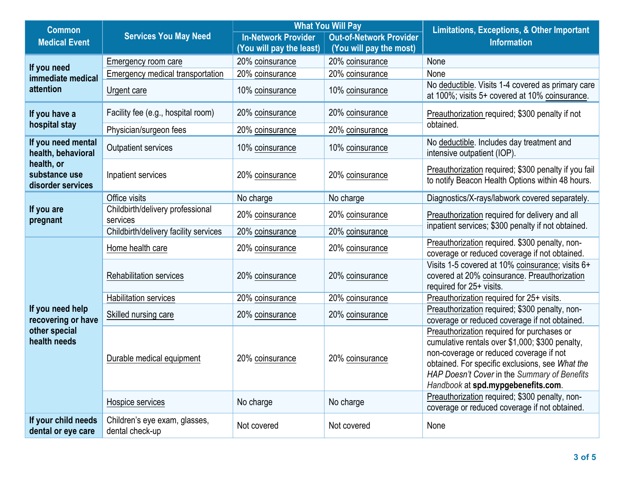| <b>Common</b>                                                           | <b>Services You May Need</b>                     | <b>What You Will Pay</b>                                     |                         | <b>Limitations, Exceptions, &amp; Other Important</b><br><b>Information</b>                                                                                                                                                                                                       |  |
|-------------------------------------------------------------------------|--------------------------------------------------|--------------------------------------------------------------|-------------------------|-----------------------------------------------------------------------------------------------------------------------------------------------------------------------------------------------------------------------------------------------------------------------------------|--|
| <b>Medical Event</b>                                                    |                                                  | <b>In-Network Provider</b><br><b>Out-of-Network Provider</b> |                         |                                                                                                                                                                                                                                                                                   |  |
|                                                                         |                                                  | (You will pay the least)                                     | (You will pay the most) |                                                                                                                                                                                                                                                                                   |  |
| If you need<br>immediate medical<br>attention                           | Emergency room care                              | 20% coinsurance                                              | 20% coinsurance         | None                                                                                                                                                                                                                                                                              |  |
|                                                                         | Emergency medical transportation                 | 20% coinsurance                                              | 20% coinsurance         | None                                                                                                                                                                                                                                                                              |  |
|                                                                         | Urgent care                                      | 10% coinsurance                                              | 10% coinsurance         | No deductible. Visits 1-4 covered as primary care<br>at 100%; visits 5+ covered at 10% coinsurance.                                                                                                                                                                               |  |
| If you have a                                                           | Facility fee (e.g., hospital room)               | 20% coinsurance                                              | 20% coinsurance         | Preauthorization required; \$300 penalty if not<br>obtained.                                                                                                                                                                                                                      |  |
| hospital stay                                                           | Physician/surgeon fees                           | 20% coinsurance                                              | 20% coinsurance         |                                                                                                                                                                                                                                                                                   |  |
| If you need mental<br>health, behavioral                                | <b>Outpatient services</b>                       | 10% coinsurance                                              | 10% coinsurance         | No deductible. Includes day treatment and<br>intensive outpatient (IOP).                                                                                                                                                                                                          |  |
| health, or<br>substance use<br>disorder services                        | Inpatient services                               | 20% coinsurance                                              | 20% coinsurance         | Preauthorization required; \$300 penalty if you fail<br>to notify Beacon Health Options within 48 hours.                                                                                                                                                                          |  |
| If you are<br>pregnant                                                  | Office visits                                    | No charge                                                    | No charge               | Diagnostics/X-rays/labwork covered separately.                                                                                                                                                                                                                                    |  |
|                                                                         | Childbirth/delivery professional<br>services     | 20% coinsurance                                              | 20% coinsurance         | Preauthorization required for delivery and all<br>inpatient services; \$300 penalty if not obtained.                                                                                                                                                                              |  |
|                                                                         | Childbirth/delivery facility services            | 20% coinsurance                                              | 20% coinsurance         |                                                                                                                                                                                                                                                                                   |  |
|                                                                         | Home health care                                 | 20% coinsurance                                              | 20% coinsurance         | Preauthorization required. \$300 penalty, non-<br>coverage or reduced coverage if not obtained.                                                                                                                                                                                   |  |
|                                                                         | <b>Rehabilitation services</b>                   | 20% coinsurance                                              | 20% coinsurance         | Visits 1-5 covered at 10% coinsurance; visits 6+<br>covered at 20% coinsurance. Preauthorization<br>required for 25+ visits.                                                                                                                                                      |  |
|                                                                         | <b>Habilitation services</b>                     | 20% coinsurance                                              | 20% coinsurance         | Preauthorization required for 25+ visits.                                                                                                                                                                                                                                         |  |
| If you need help<br>recovering or have<br>other special<br>health needs | Skilled nursing care                             | 20% coinsurance                                              | 20% coinsurance         | Preauthorization required; \$300 penalty, non-<br>coverage or reduced coverage if not obtained.                                                                                                                                                                                   |  |
|                                                                         | Durable medical equipment                        | 20% coinsurance                                              | 20% coinsurance         | Preauthorization required for purchases or<br>cumulative rentals over \$1,000; \$300 penalty,<br>non-coverage or reduced coverage if not<br>obtained. For specific exclusions, see What the<br>HAP Doesn't Cover in the Summary of Benefits<br>Handbook at spd.mypgebenefits.com. |  |
|                                                                         | Hospice services                                 | No charge                                                    | No charge               | Preauthorization required; \$300 penalty, non-<br>coverage or reduced coverage if not obtained.                                                                                                                                                                                   |  |
| If your child needs<br>dental or eye care                               | Children's eye exam, glasses,<br>dental check-up | Not covered                                                  | Not covered             | None                                                                                                                                                                                                                                                                              |  |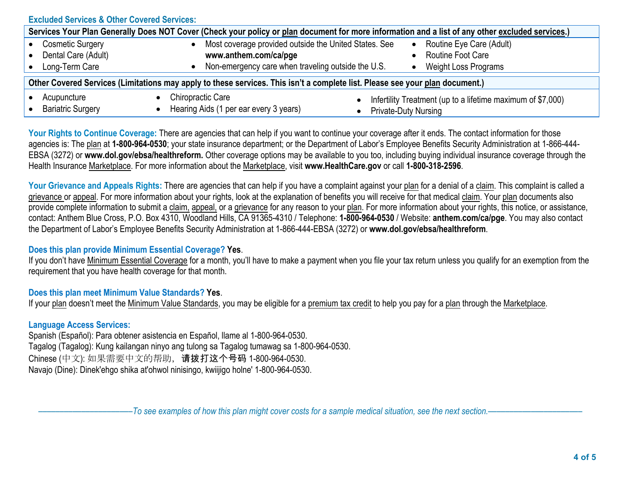| <b>Excluded Services &amp; Other Covered Services:</b>                                                                                           |                                                                                                                                      |                                                                                            |  |  |  |
|--------------------------------------------------------------------------------------------------------------------------------------------------|--------------------------------------------------------------------------------------------------------------------------------------|--------------------------------------------------------------------------------------------|--|--|--|
| Services Your Plan Generally Does NOT Cover (Check your policy or plan document for more information and a list of any other excluded services.) |                                                                                                                                      |                                                                                            |  |  |  |
| <b>Cosmetic Surgery</b><br>Dental Care (Adult)<br>Long-Term Care                                                                                 | Most coverage provided outside the United States. See<br>www.anthem.com/ca/pge<br>Non-emergency care when traveling outside the U.S. | Routine Eye Care (Adult)<br>$\bullet$<br><b>Routine Foot Care</b><br>Weight Loss Programs  |  |  |  |
| Other Covered Services (Limitations may apply to these services. This isn't a complete list. Please see your plan document.)                     |                                                                                                                                      |                                                                                            |  |  |  |
| Acupuncture<br><b>Bariatric Surgery</b>                                                                                                          | <b>Chiropractic Care</b><br>Hearing Aids (1 per ear every 3 years)                                                                   | Infertility Treatment (up to a lifetime maximum of \$7,000)<br><b>Private-Duty Nursing</b> |  |  |  |

Your Rights to Continue Coverage: There are agencies that can help if you want to continue your coverage after it ends. The contact information for those agencies is: The plan at **1-800-964-0530**; your state insurance department; or the Department of Labor's Employee Benefits Security Administration at 1-866-444- EBSA (3272) or **www.dol.gov/ebsa/healthreform.** Other coverage options may be available to you too, including buying individual insurance coverage through the Health Insurance Marketplace. For more information about the Marketplace, visit **www.HealthCare.gov** or call **1-800-318-2596**.

Your Grievance and Appeals Rights: There are agencies that can help if you have a complaint against your plan for a denial of a claim. This complaint is called a grievance or appeal. For more information about your rights, look at the explanation of benefits you will receive for that medical claim. Your plan documents also provide complete information to submit a claim, appeal, or a grievance for any reason to your plan. For more information about your rights, this notice, or assistance, contact: Anthem Blue Cross, P.O. Box 4310, Woodland Hills, CA 91365-4310 / Telephone: **1-800-964-0530** / Website: **anthem.com/ca/pge**. You may also contact the Department of Labor's Employee Benefits Security Administration at 1-866-444-EBSA (3272) or **www.dol.gov/ebsa/healthreform**.

## **Does this plan provide Minimum Essential Coverage? Yes**.

If you don't have Minimum Essential Coverage for a month, you'll have to make a payment when you file your tax return unless you qualify for an exemption from the requirement that you have health coverage for that month.

## **Does this plan meet Minimum Value Standards? Yes**.

If your plan doesn't meet the Minimum Value Standards, you may be eligible for a premium tax credit to help you pay for a plan through the Marketplace.

## **Language Access Services:**

Spanish (Español): Para obtener asistencia en Español, llame al 1-800-964-0530. Tagalog (Tagalog): Kung kailangan ninyo ang tulong sa Tagalog tumawag sa 1-800-964-0530. Chinese (中文): 如果需要中文的帮助,请拨打这个号码 1-800-964-0530. Navajo (Dine): Dinek'ehgo shika at'ohwol ninisingo, kwiijigo holne' 1-800-964-0530.

–To see examples of how this plan might cover costs for a sample medical situation, see the next section.–